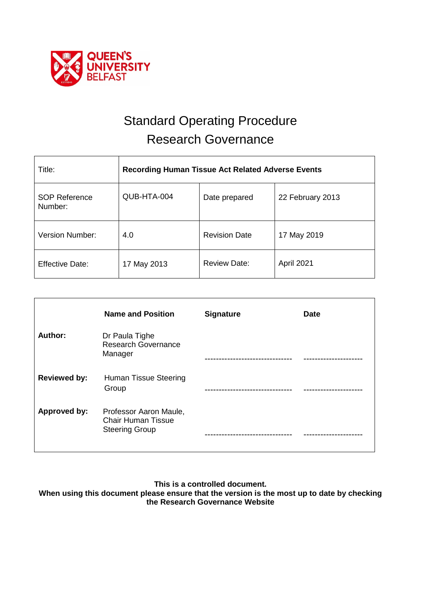

# Standard Operating Procedure Research Governance

| Title:                          | <b>Recording Human Tissue Act Related Adverse Events</b> |                      |                  |  |
|---------------------------------|----------------------------------------------------------|----------------------|------------------|--|
| <b>SOP Reference</b><br>Number: | QUB-HTA-004                                              | Date prepared        | 22 February 2013 |  |
| Version Number:                 | 4.0                                                      | <b>Revision Date</b> | 17 May 2019      |  |
| <b>Effective Date:</b>          | 17 May 2013                                              | <b>Review Date:</b>  | April 2021       |  |

|                     | <b>Name and Position</b>                                                     | <b>Signature</b> | <b>Date</b> |
|---------------------|------------------------------------------------------------------------------|------------------|-------------|
| Author:             | Dr Paula Tighe<br><b>Research Governance</b><br>Manager                      |                  |             |
| <b>Reviewed by:</b> | Human Tissue Steering<br>Group                                               |                  |             |
| Approved by:        | Professor Aaron Maule,<br><b>Chair Human Tissue</b><br><b>Steering Group</b> |                  |             |

**This is a controlled document.**

**When using this document please ensure that the version is the most up to date by checking the Research Governance Website**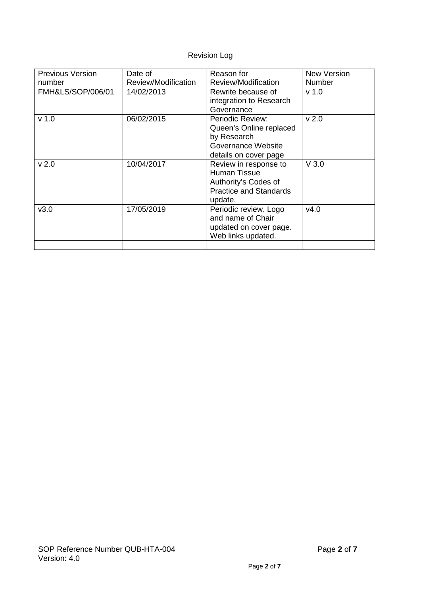## Revision Log

| <b>Previous Version</b> | Date of             | Reason for                    | New Version      |
|-------------------------|---------------------|-------------------------------|------------------|
| number                  | Review/Modification | Review/Modification           | <b>Number</b>    |
| FMH&LS/SOP/006/01       | 14/02/2013          | Rewrite because of            | v <sub>1.0</sub> |
|                         |                     | integration to Research       |                  |
|                         |                     | Governance                    |                  |
| v <sub>1.0</sub>        | 06/02/2015          | Periodic Review:              | v <sub>2.0</sub> |
|                         |                     | Queen's Online replaced       |                  |
|                         |                     | by Research                   |                  |
|                         |                     | Governance Website            |                  |
|                         |                     | details on cover page         |                  |
| v <sub>2.0</sub>        | 10/04/2017          | Review in response to         | $V$ 3.0          |
|                         |                     | <b>Human Tissue</b>           |                  |
|                         |                     | Authority's Codes of          |                  |
|                         |                     | <b>Practice and Standards</b> |                  |
|                         |                     | update.                       |                  |
| v3.0                    | 17/05/2019          | Periodic review. Logo         | v4.0             |
|                         |                     | and name of Chair             |                  |
|                         |                     | updated on cover page.        |                  |
|                         |                     | Web links updated.            |                  |
|                         |                     |                               |                  |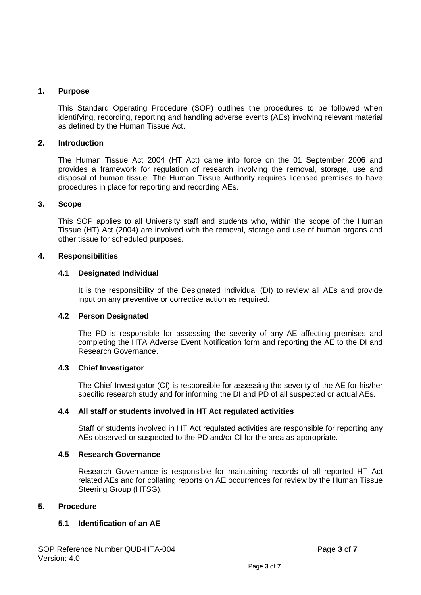## **1. Purpose**

This Standard Operating Procedure (SOP) outlines the procedures to be followed when identifying, recording, reporting and handling adverse events (AEs) involving relevant material as defined by the Human Tissue Act.

## **2. Introduction**

The Human Tissue Act 2004 (HT Act) came into force on the 01 September 2006 and provides a framework for regulation of research involving the removal, storage, use and disposal of human tissue. The Human Tissue Authority requires licensed premises to have procedures in place for reporting and recording AEs.

## **3. Scope**

This SOP applies to all University staff and students who, within the scope of the Human Tissue (HT) Act (2004) are involved with the removal, storage and use of human organs and other tissue for scheduled purposes.

## **4. Responsibilities**

#### **4.1 Designated Individual**

It is the responsibility of the Designated Individual (DI) to review all AEs and provide input on any preventive or corrective action as required.

## **4.2 Person Designated**

The PD is responsible for assessing the severity of any AE affecting premises and completing the HTA Adverse Event Notification form and reporting the AE to the DI and Research Governance.

## **4.3 Chief Investigator**

The Chief Investigator (CI) is responsible for assessing the severity of the AE for his/her specific research study and for informing the DI and PD of all suspected or actual AEs.

## **4.4 All staff or students involved in HT Act regulated activities**

Staff or students involved in HT Act regulated activities are responsible for reporting any AEs observed or suspected to the PD and/or CI for the area as appropriate.

#### **4.5 Research Governance**

Research Governance is responsible for maintaining records of all reported HT Act related AEs and for collating reports on AE occurrences for review by the Human Tissue Steering Group (HTSG).

## **5. Procedure**

## **5.1 Identification of an AE**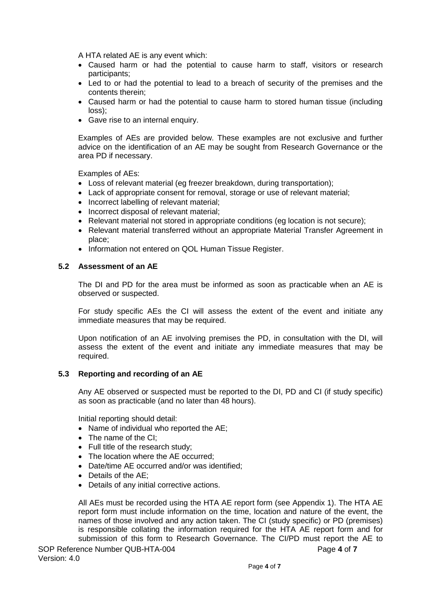A HTA related AE is any event which:

- Caused harm or had the potential to cause harm to staff, visitors or research participants;
- Led to or had the potential to lead to a breach of security of the premises and the contents therein;
- Caused harm or had the potential to cause harm to stored human tissue (including loss);
- Gave rise to an internal enquiry.

Examples of AEs are provided below. These examples are not exclusive and further advice on the identification of an AE may be sought from Research Governance or the area PD if necessary.

Examples of AEs:

- Loss of relevant material (eg freezer breakdown, during transportation);
- Lack of appropriate consent for removal, storage or use of relevant material;
- Incorrect labelling of relevant material;
- Incorrect disposal of relevant material:
- Relevant material not stored in appropriate conditions (eq location is not secure);
- Relevant material transferred without an appropriate Material Transfer Agreement in place;
- Information not entered on QOL Human Tissue Register.

## **5.2 Assessment of an AE**

The DI and PD for the area must be informed as soon as practicable when an AE is observed or suspected.

For study specific AEs the CI will assess the extent of the event and initiate any immediate measures that may be required.

Upon notification of an AE involving premises the PD, in consultation with the DI, will assess the extent of the event and initiate any immediate measures that may be required.

## **5.3 Reporting and recording of an AE**

Any AE observed or suspected must be reported to the DI, PD and CI (if study specific) as soon as practicable (and no later than 48 hours).

Initial reporting should detail:

- Name of individual who reported the AE;
- The name of the CI:
- Full title of the research study;
- The location where the AE occurred;
- Date/time AE occurred and/or was identified:
- Details of the AE;
- Details of any initial corrective actions.

All AEs must be recorded using the HTA AE report form (see Appendix 1). The HTA AE report form must include information on the time, location and nature of the event, the names of those involved and any action taken. The CI (study specific) or PD (premises) is responsible collating the information required for the HTA AE report form and for submission of this form to Research Governance. The CI/PD must report the AE to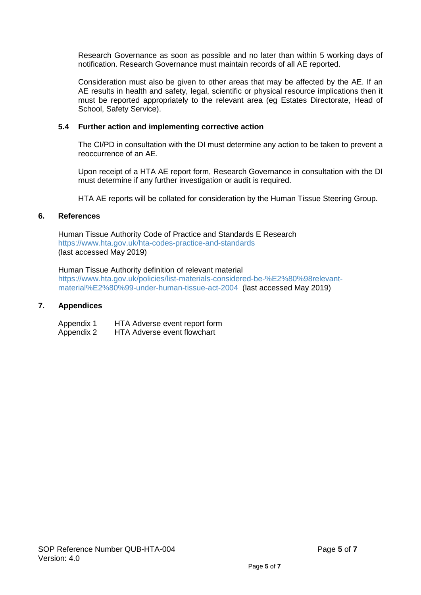Research Governance as soon as possible and no later than within 5 working days of notification. Research Governance must maintain records of all AE reported.

Consideration must also be given to other areas that may be affected by the AE. If an AE results in health and safety, legal, scientific or physical resource implications then it must be reported appropriately to the relevant area (eg Estates Directorate, Head of School, Safety Service).

## **5.4 Further action and implementing corrective action**

The CI/PD in consultation with the DI must determine any action to be taken to prevent a reoccurrence of an AE.

Upon receipt of a HTA AE report form, Research Governance in consultation with the DI must determine if any further investigation or audit is required.

HTA AE reports will be collated for consideration by the Human Tissue Steering Group.

#### **6. References**

Human Tissue Authority Code of Practice and Standards E Research <https://www.hta.gov.uk/hta-codes-practice-and-standards> (last accessed May 2019)

Human Tissue Authority definition of relevant material [https://www.hta.gov.uk/policies/list-materials-considered-be-%E2%80%98relevant](https://www.hta.gov.uk/policies/list-materials-considered-be-%E2%80%98relevant-material%E2%80%99-under-human-tissue-act-2004)[material%E2%80%99-under-human-tissue-act-2004](https://www.hta.gov.uk/policies/list-materials-considered-be-%E2%80%98relevant-material%E2%80%99-under-human-tissue-act-2004) (last accessed May 2019)

#### **7. Appendices**

Appendix 1 HTA Adverse event report form Appendix 2 HTA Adverse event flowchart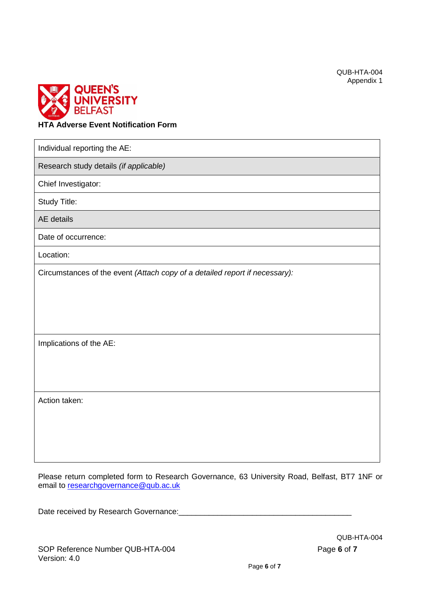

## **HTA Adverse Event Notification Form**

Individual reporting the AE:

Research study details *(if applicable)*

Chief Investigator:

Study Title:

AE details

Date of occurrence:

Location:

Circumstances of the event *(Attach copy of a detailed report if necessary):*

Implications of the AE:

Action taken:

Please return completed form to Research Governance, 63 University Road, Belfast, BT7 1NF or email to [researchgovernance@qub.ac.uk](mailto:researchgovernance@qub.ac.uk)

Date received by Research Governance: